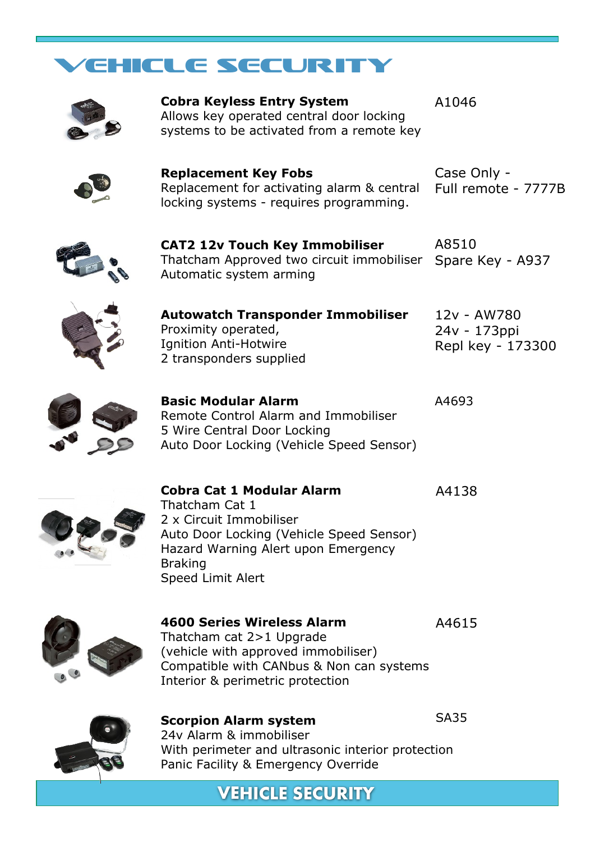## VEHICLE SECURITY



**Cobra Keyless Entry System** Allows key operated central door locking systems to be activated from a remote key A1046



**Replacement Key Fobs** Replacement for activating alarm & central locking systems - requires programming.

Case Only - Full remote - 7777B



**CAT2 12v Touch Key Immobiliser** Thatcham Approved two circuit immobiliser Spare Key - A937 Automatic system arming A8510





**Autowatch Transponder Immobiliser** Proximity operated, Ignition Anti-Hotwire 2 transponders supplied

**Basic Modular Alarm** Remote Control Alarm and Immobiliser 5 Wire Central Door Locking Auto Door Locking (Vehicle Speed Sensor)



**Cobra Cat 1 Modular Alarm** A4138 Thatcham Cat 1 2 x Circuit Immobiliser Auto Door Locking (Vehicle Speed Sensor) Hazard Warning Alert upon Emergency Braking Speed Limit Alert



## **4600 Series Wireless Alarm**

A4615

SA35

A4693

Thatcham cat 2>1 Upgrade (vehicle with approved immobiliser) Compatible with CANbus & Non can systems Interior & perimetric protection



**Scorpion Alarm system**

24v Alarm & immobiliser With perimeter and ultrasonic interior protection Panic Facility & Emergency Override

**VEHICLE SECURITY**